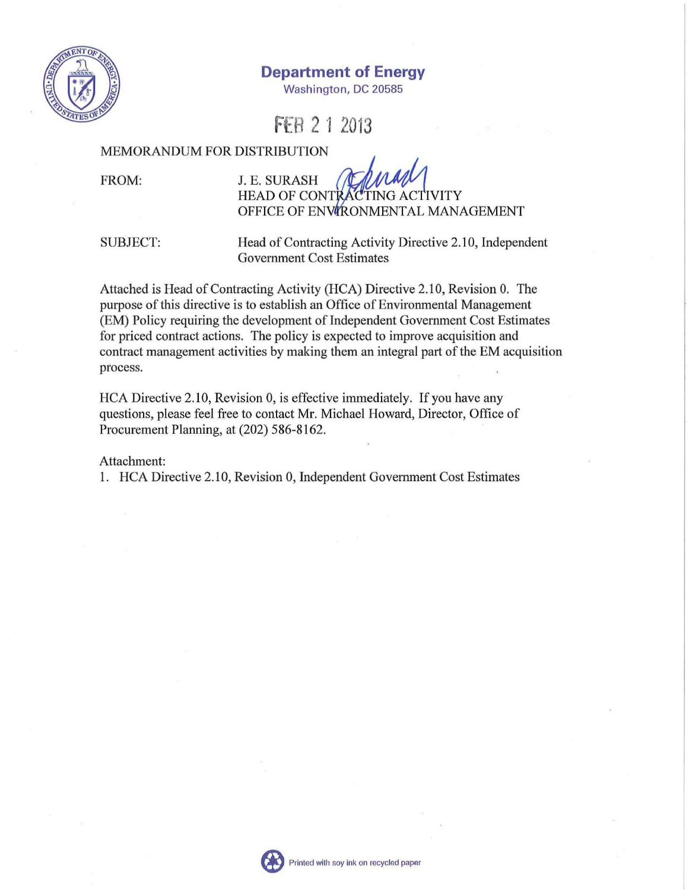

**Department of Energy** 

Washington, DC 20585

**FER 2 1 2013** 

#### MEMORANDUM FOR DISTRIBUTION

FROM:

# J. E. SURASH HEAD OF CONTRACTING ACTIVITY OFFICE OF ENVIRONMENTAL MANAGEMENT

SUBJECT:

Head of Contracting Activity Directive 2.10, Independent Government Cost Estimates

Attached is Head of Contracting Activity (HCA) Directive 2.10, Revision O. The purpose of this directive is to establish an Office of Environmental Management (EM) Policy requiring the development of Independent Government Cost Estimates for priced contract actions. The policy is expected to improve acquisition and contract management activities by making them an integral part of the EM acquisition process.

HCA Directive 2.10, Revision 0, is effective immediately. If you have any questions, please feel free to contact Mr. Michael Howard, Director, Office of Procurement Planning, at (202) 586-8162.

Attachment:

I. HCA Directive 2.10, Revision 0, Independent Government Cost Estimates

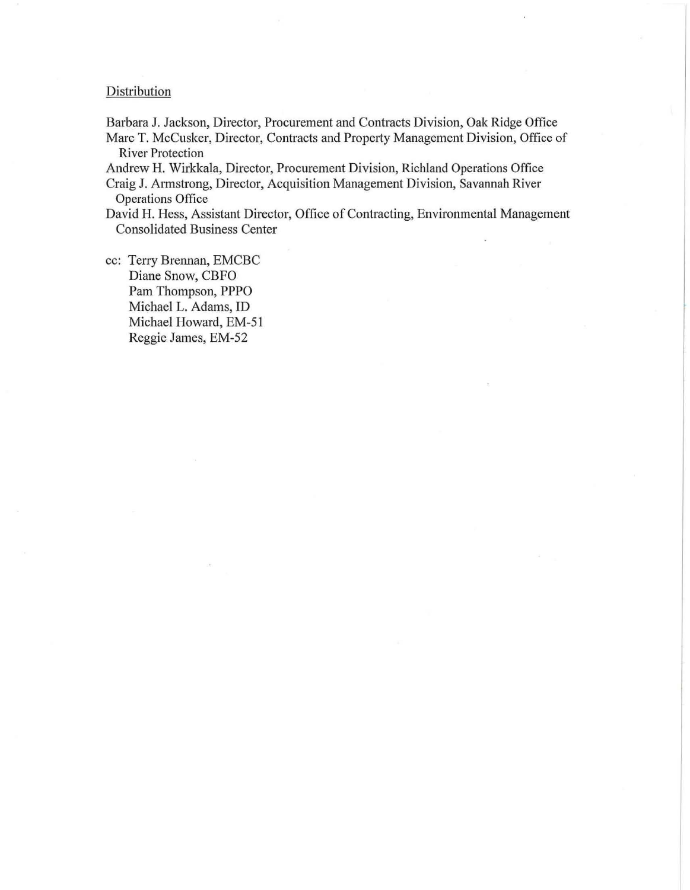#### **Distribution**

Barbara J. Jackson, Director, Procurement and Contracts Division, Oak Ridge Office Marc T. McCusker, Director, Contracts and Property Management Division, Office of River Protection

Andrew H. Wirkkala, Director, Procurement Division, Richland Operations Office

Craig J. Armstrong, Director, Acquisition Management Division, Savannah River Operations Office

David H. Hess, Assistant Director, Office of Contracting, Environmental Management Consolidated Business Center

cc: Terry Brennan, EMCBC Diane Snow, CBFO Pam Thompson, PPPO Michael L. Adams, ID Michael Howard, EM-51 Reggie James, EM-52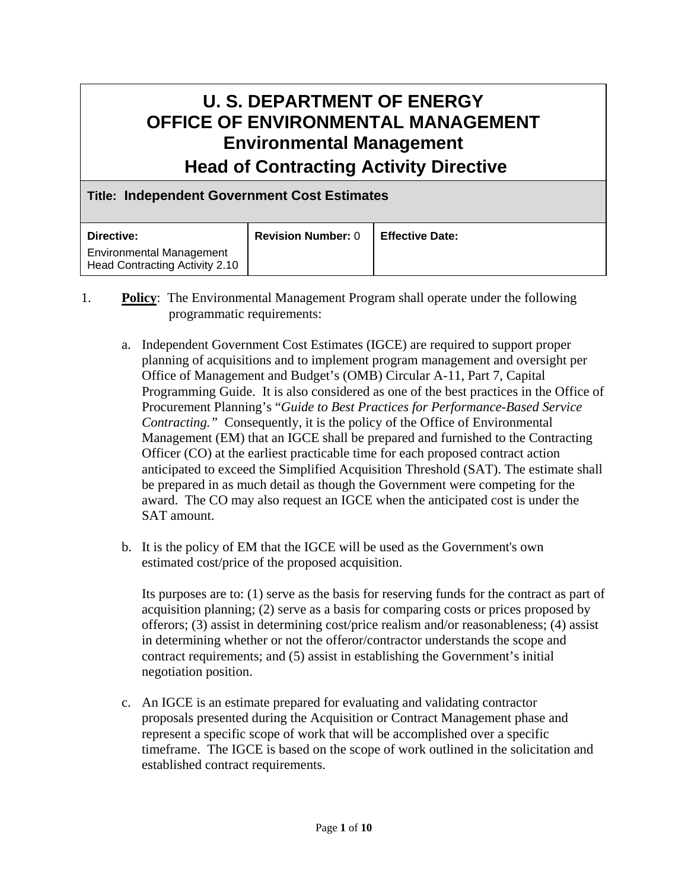# **U. S. DEPARTMENT OF ENERGY OFFICE OF ENVIRONMENTAL MANAGEMENT Environmental Management Head of Contracting Activity Directive**

## **Title: Independent Government Cost Estimates**

| Directive:                                                        | <b>Revision Number: 0</b> | <b>Effective Date:</b> |
|-------------------------------------------------------------------|---------------------------|------------------------|
| <b>Environmental Management</b><br>Head Contracting Activity 2.10 |                           |                        |

- 1. **Policy**: The Environmental Management Program shall operate under the following programmatic requirements:
	- a. Independent Government Cost Estimates (IGCE) are required to support proper planning of acquisitions and to implement program management and oversight per Office of Management and Budget's (OMB) Circular A-11, Part 7, Capital Programming Guide. It is also considered as one of the best practices in the Office of Procurement Planning's "*Guide to Best Practices for Performance-Based Service Contracting."* Consequently, it is the policy of the Office of Environmental Management (EM) that an IGCE shall be prepared and furnished to the Contracting Officer (CO) at the earliest practicable time for each proposed contract action anticipated to exceed the Simplified Acquisition Threshold (SAT). The estimate shall be prepared in as much detail as though the Government were competing for the award. The CO may also request an IGCE when the anticipated cost is under the SAT amount.
	- b. It is the policy of EM that the IGCE will be used as the Government's own estimated cost/price of the proposed acquisition.

Its purposes are to: (1) serve as the basis for reserving funds for the contract as part of acquisition planning; (2) serve as a basis for comparing costs or prices proposed by offerors; (3) assist in determining cost/price realism and/or reasonableness; (4) assist in determining whether or not the offeror/contractor understands the scope and contract requirements; and (5) assist in establishing the Government's initial negotiation position.

c. An IGCE is an estimate prepared for evaluating and validating contractor proposals presented during the Acquisition or Contract Management phase and represent a specific scope of work that will be accomplished over a specific timeframe. The IGCE is based on the scope of work outlined in the solicitation and established contract requirements.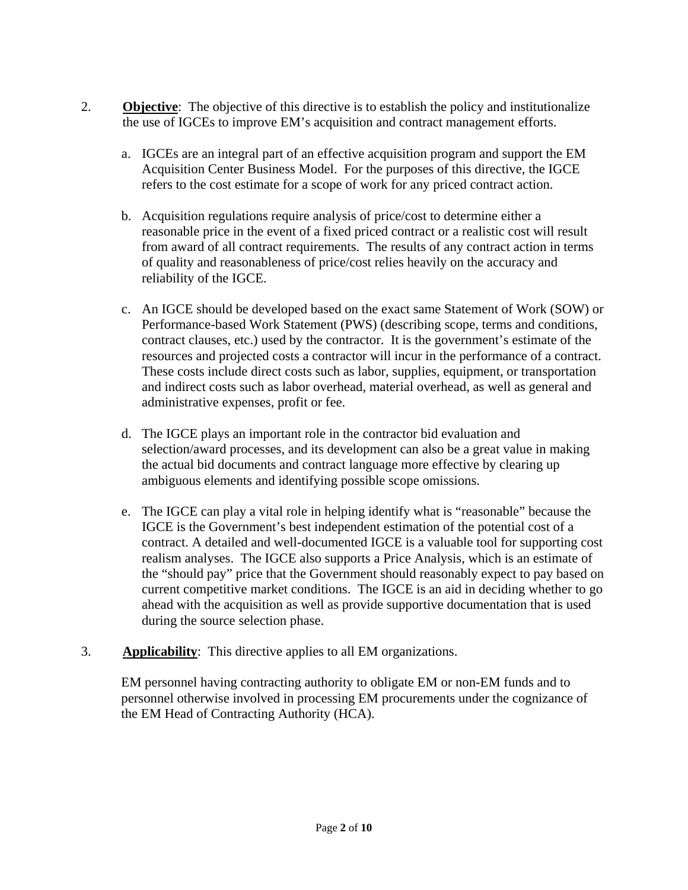- 2. **Objective**: The objective of this directive is to establish the policy and institutionalize the use of IGCEs to improve EM's acquisition and contract management efforts.
	- a. IGCEs are an integral part of an effective acquisition program and support the EM Acquisition Center Business Model. For the purposes of this directive, the IGCE refers to the cost estimate for a scope of work for any priced contract action.
	- b. Acquisition regulations require analysis of price/cost to determine either a reasonable price in the event of a fixed priced contract or a realistic cost will result from award of all contract requirements. The results of any contract action in terms of quality and reasonableness of price/cost relies heavily on the accuracy and reliability of the IGCE.
	- c. An IGCE should be developed based on the exact same Statement of Work (SOW) or Performance-based Work Statement (PWS) (describing scope, terms and conditions, contract clauses, etc.) used by the contractor. It is the government's estimate of the resources and projected costs a contractor will incur in the performance of a contract. These costs include direct costs such as labor, supplies, equipment, or transportation and indirect costs such as labor overhead, material overhead, as well as general and administrative expenses, profit or fee.
	- d. The IGCE plays an important role in the contractor bid evaluation and selection/award processes, and its development can also be a great value in making the actual bid documents and contract language more effective by clearing up ambiguous elements and identifying possible scope omissions.
	- e. The IGCE can play a vital role in helping identify what is "reasonable" because the IGCE is the Government's best independent estimation of the potential cost of a contract. A detailed and well-documented IGCE is a valuable tool for supporting cost realism analyses. The IGCE also supports a Price Analysis, which is an estimate of the "should pay" price that the Government should reasonably expect to pay based on current competitive market conditions. The IGCE is an aid in deciding whether to go ahead with the acquisition as well as provide supportive documentation that is used during the source selection phase.
- 3. **Applicability**: This directive applies to all EM organizations.

EM personnel having contracting authority to obligate EM or non-EM funds and to personnel otherwise involved in processing EM procurements under the cognizance of the EM Head of Contracting Authority (HCA).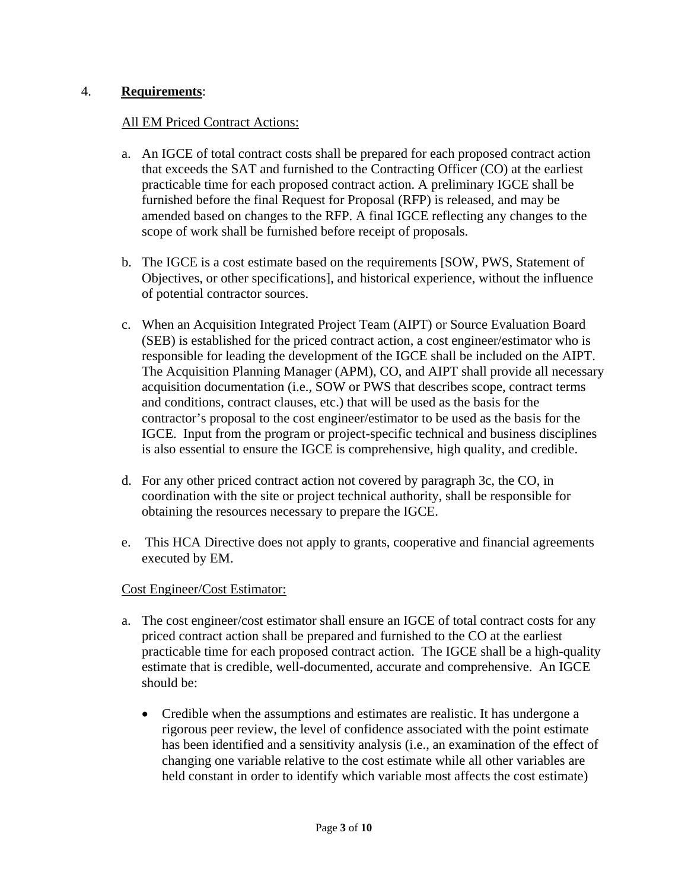# 4. **Requirements**:

## All EM Priced Contract Actions:

- a. An IGCE of total contract costs shall be prepared for each proposed contract action that exceeds the SAT and furnished to the Contracting Officer (CO) at the earliest practicable time for each proposed contract action. A preliminary IGCE shall be furnished before the final Request for Proposal (RFP) is released, and may be amended based on changes to the RFP. A final IGCE reflecting any changes to the scope of work shall be furnished before receipt of proposals.
- b. The IGCE is a cost estimate based on the requirements [SOW, PWS, Statement of Objectives, or other specifications], and historical experience, without the influence of potential contractor sources.
- c. When an Acquisition Integrated Project Team (AIPT) or Source Evaluation Board (SEB) is established for the priced contract action, a cost engineer/estimator who is responsible for leading the development of the IGCE shall be included on the AIPT. The Acquisition Planning Manager (APM), CO, and AIPT shall provide all necessary acquisition documentation (i.e., SOW or PWS that describes scope, contract terms and conditions, contract clauses, etc.) that will be used as the basis for the contractor's proposal to the cost engineer/estimator to be used as the basis for the IGCE. Input from the program or project-specific technical and business disciplines is also essential to ensure the IGCE is comprehensive, high quality, and credible.
- d. For any other priced contract action not covered by paragraph 3c, the CO, in coordination with the site or project technical authority, shall be responsible for obtaining the resources necessary to prepare the IGCE.
- e. This HCA Directive does not apply to grants, cooperative and financial agreements executed by EM.

## Cost Engineer/Cost Estimator:

- a. The cost engineer/cost estimator shall ensure an IGCE of total contract costs for any priced contract action shall be prepared and furnished to the CO at the earliest practicable time for each proposed contract action. The IGCE shall be a high-quality estimate that is credible, well-documented, accurate and comprehensive. An IGCE should be:
	- Credible when the assumptions and estimates are realistic. It has undergone a rigorous peer review, the level of confidence associated with the point estimate has been identified and a sensitivity analysis (i.e., an examination of the effect of changing one variable relative to the cost estimate while all other variables are held constant in order to identify which variable most affects the cost estimate)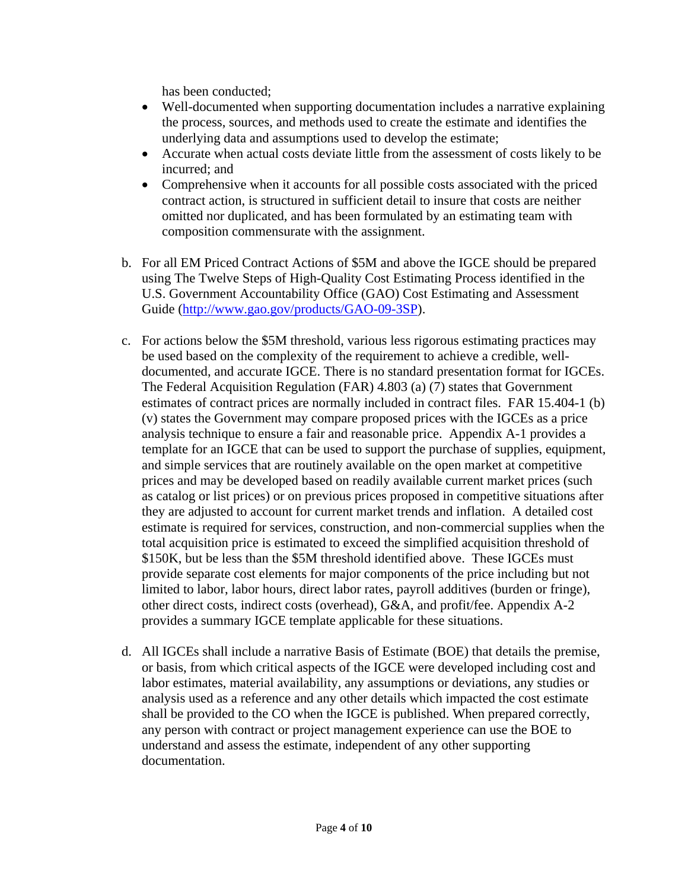has been conducted;

- Well-documented when supporting documentation includes a narrative explaining the process, sources, and methods used to create the estimate and identifies the underlying data and assumptions used to develop the estimate;
- Accurate when actual costs deviate little from the assessment of costs likely to be incurred; and
- Comprehensive when it accounts for all possible costs associated with the priced contract action, is structured in sufficient detail to insure that costs are neither omitted nor duplicated, and has been formulated by an estimating team with composition commensurate with the assignment.
- b. For all EM Priced Contract Actions of \$5M and above the IGCE should be prepared using The Twelve Steps of High-Quality Cost Estimating Process identified in the U.S. Government Accountability Office (GAO) Cost Estimating and Assessment Guide (http://www.gao.gov/products/GAO-09-3SP).
- c. For actions below the \$5M threshold, various less rigorous estimating practices may be used based on the complexity of the requirement to achieve a credible, welldocumented, and accurate IGCE. There is no standard presentation format for IGCEs. The Federal Acquisition Regulation (FAR) 4.803 (a) (7) states that Government estimates of contract prices are normally included in contract files. FAR 15.404-1 (b) (v) states the Government may compare proposed prices with the IGCEs as a price analysis technique to ensure a fair and reasonable price. Appendix A-1 provides a template for an IGCE that can be used to support the purchase of supplies, equipment, and simple services that are routinely available on the open market at competitive prices and may be developed based on readily available current market prices (such as catalog or list prices) or on previous prices proposed in competitive situations after they are adjusted to account for current market trends and inflation. A detailed cost estimate is required for services, construction, and non-commercial supplies when the total acquisition price is estimated to exceed the simplified acquisition threshold of \$150K, but be less than the \$5M threshold identified above. These IGCEs must provide separate cost elements for major components of the price including but not limited to labor, labor hours, direct labor rates, payroll additives (burden or fringe), other direct costs, indirect costs (overhead), G&A, and profit/fee. Appendix A-2 provides a summary IGCE template applicable for these situations.
- d. All IGCEs shall include a narrative Basis of Estimate (BOE) that details the premise, or basis, from which critical aspects of the IGCE were developed including cost and labor estimates, material availability, any assumptions or deviations, any studies or analysis used as a reference and any other details which impacted the cost estimate shall be provided to the CO when the IGCE is published. When prepared correctly, any person with contract or project management experience can use the BOE to understand and assess the estimate, independent of any other supporting documentation.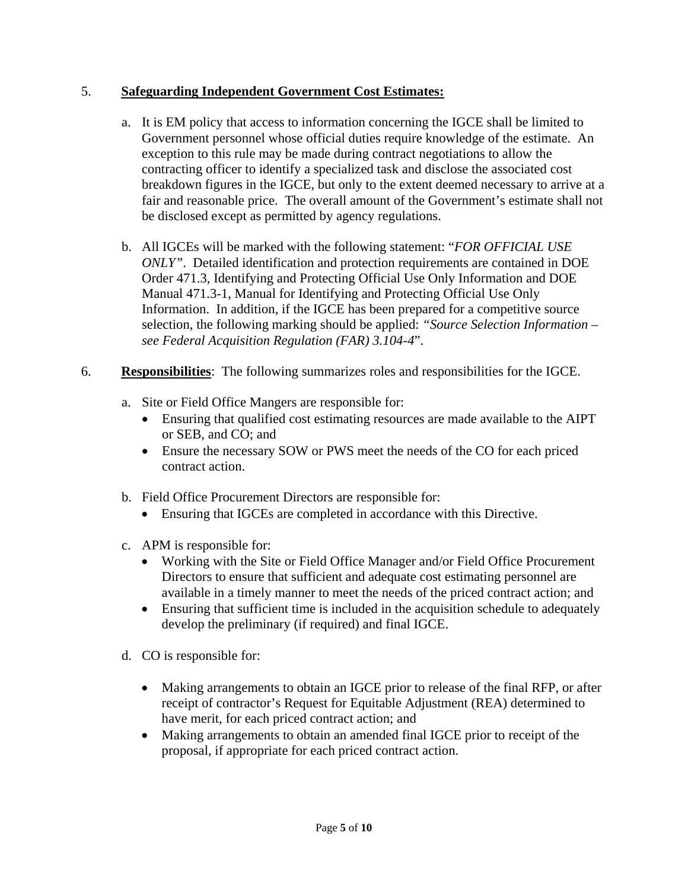# 5. **Safeguarding Independent Government Cost Estimates:**

- a. It is EM policy that access to information concerning the IGCE shall be limited to Government personnel whose official duties require knowledge of the estimate. An exception to this rule may be made during contract negotiations to allow the contracting officer to identify a specialized task and disclose the associated cost breakdown figures in the IGCE, but only to the extent deemed necessary to arrive at a fair and reasonable price. The overall amount of the Government's estimate shall not be disclosed except as permitted by agency regulations.
- b. All IGCEs will be marked with the following statement: "*FOR OFFICIAL USE ONLY"*. Detailed identification and protection requirements are contained in DOE Order 471.3, Identifying and Protecting Official Use Only Information and DOE Manual 471.3-1, Manual for Identifying and Protecting Official Use Only Information. In addition, if the IGCE has been prepared for a competitive source selection, the following marking should be applied: *"Source Selection Information – see Federal Acquisition Regulation (FAR) 3.104-4*".
- 6. **Responsibilities**: The following summarizes roles and responsibilities for the IGCE.
	- a. Site or Field Office Mangers are responsible for:
		- Ensuring that qualified cost estimating resources are made available to the AIPT or SEB, and CO; and
		- Ensure the necessary SOW or PWS meet the needs of the CO for each priced contract action.
	- b. Field Office Procurement Directors are responsible for:
		- Ensuring that IGCEs are completed in accordance with this Directive.
	- c. APM is responsible for:
		- Working with the Site or Field Office Manager and/or Field Office Procurement Directors to ensure that sufficient and adequate cost estimating personnel are available in a timely manner to meet the needs of the priced contract action; and
		- Ensuring that sufficient time is included in the acquisition schedule to adequately develop the preliminary (if required) and final IGCE.
	- d. CO is responsible for:
		- Making arrangements to obtain an IGCE prior to release of the final RFP, or after receipt of contractor's Request for Equitable Adjustment (REA) determined to have merit, for each priced contract action; and
		- Making arrangements to obtain an amended final IGCE prior to receipt of the proposal, if appropriate for each priced contract action.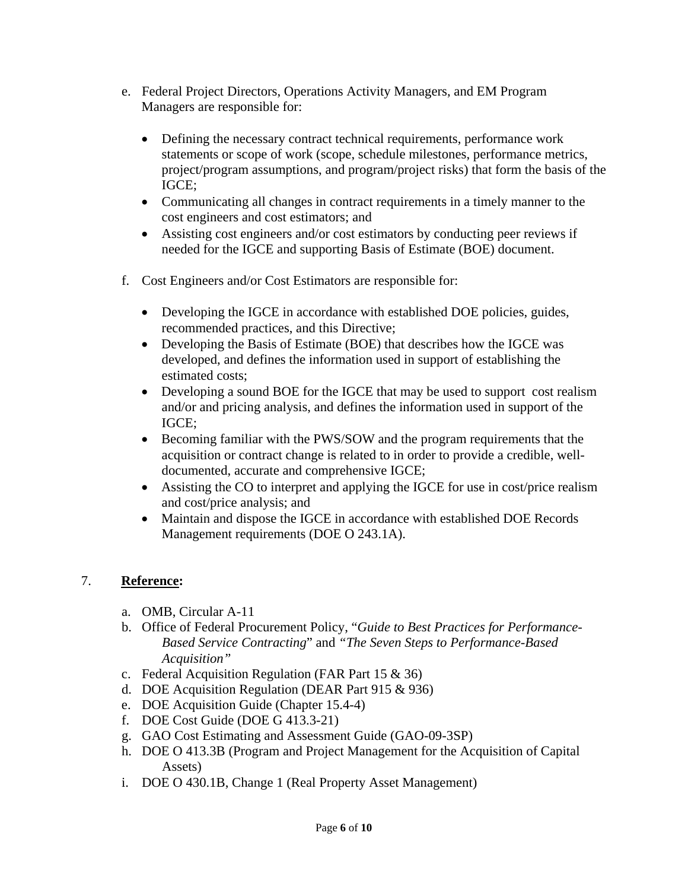- e. Federal Project Directors, Operations Activity Managers, and EM Program Managers are responsible for:
	- Defining the necessary contract technical requirements, performance work statements or scope of work (scope, schedule milestones, performance metrics, project/program assumptions, and program/project risks) that form the basis of the IGCE;
	- Communicating all changes in contract requirements in a timely manner to the cost engineers and cost estimators; and
	- Assisting cost engineers and/or cost estimators by conducting peer reviews if needed for the IGCE and supporting Basis of Estimate (BOE) document.
- f. Cost Engineers and/or Cost Estimators are responsible for:
	- Developing the IGCE in accordance with established DOE policies, guides, recommended practices, and this Directive;
	- Developing the Basis of Estimate (BOE) that describes how the IGCE was developed, and defines the information used in support of establishing the estimated costs;
	- Developing a sound BOE for the IGCE that may be used to support cost realism and/or and pricing analysis, and defines the information used in support of the IGCE;
	- Becoming familiar with the PWS/SOW and the program requirements that the acquisition or contract change is related to in order to provide a credible, welldocumented, accurate and comprehensive IGCE;
	- Assisting the CO to interpret and applying the IGCE for use in cost/price realism and cost/price analysis; and
	- Maintain and dispose the IGCE in accordance with established DOE Records Management requirements (DOE O 243.1A).

# 7. **Reference:**

- a. OMB, Circular A-11
- b. Office of Federal Procurement Policy, "*Guide to Best Practices for Performance-Based Service Contracting*" and *"The Seven Steps to Performance-Based Acquisition"*
- c. Federal Acquisition Regulation (FAR Part 15 & 36)
- d. DOE Acquisition Regulation (DEAR Part 915 & 936)
- e. DOE Acquisition Guide (Chapter 15.4-4)
- f. DOE Cost Guide (DOE G 413.3-21)
- g. GAO Cost Estimating and Assessment Guide (GAO-09-3SP)
- h. DOE O 413.3B (Program and Project Management for the Acquisition of Capital Assets)
- i. DOE O 430.1B, Change 1 (Real Property Asset Management)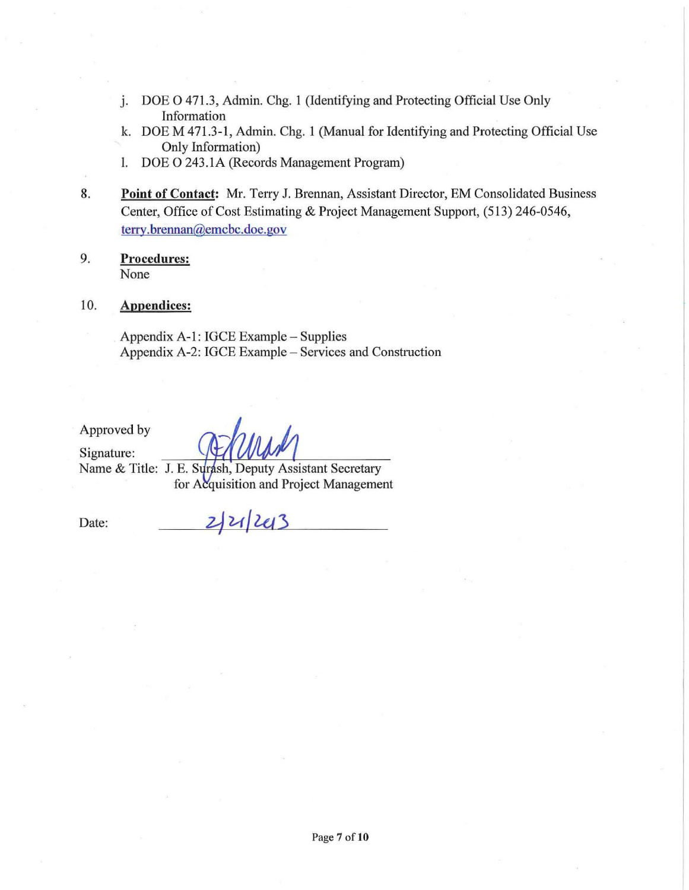- j. DOE 0 471.3, Admin. Chg. 1 (Identifying and Protecting Official Use Only Information
- k. DOE M 471.3-1, Admin. Chg. 1 (Manual for Identifying and Protecting Official Use Only Information)
- l. DOE 0 243.IA (Records Management Program)
- 8. **Point of Contact:** Mr. Terry 1. Brennan, Assistant Director, EM Consolidated Business Center, Office of Cost Estimating & Project Management Support, (513) 246-0546, terry.brennan@emcbc.doe.gov
- 9. **Procedures:**  None

#### 10. **Appendices:**

Appendix A-I: IGCE Example - Supplies Appendix A-2: IGCE Example - Services and Construction

Approved by

Signature: Name & Title: J. E. Surash, Deputy Assistant Secretary for Acquisition and Project Management

2/21/243

Date: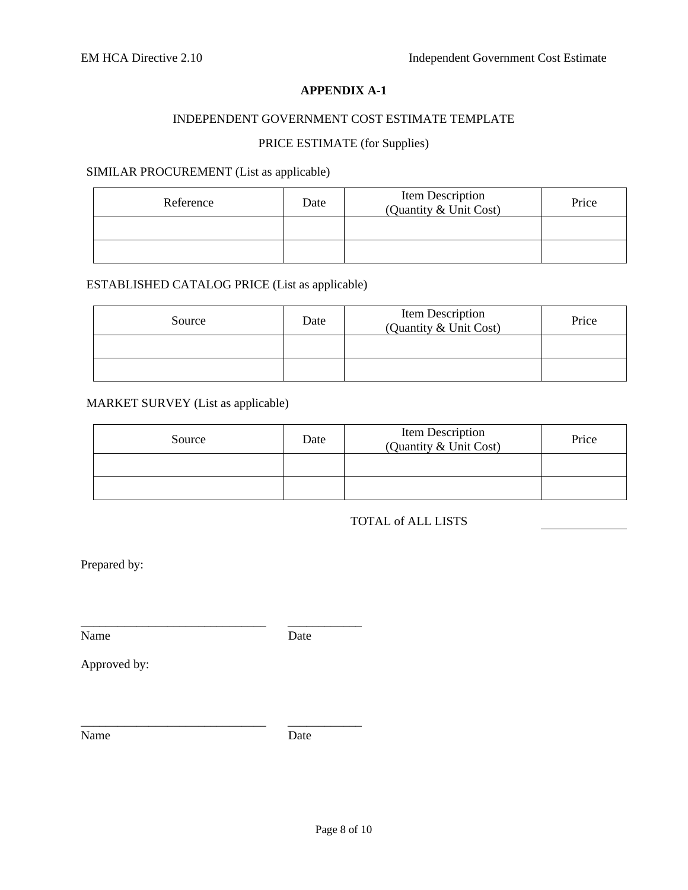#### **APPENDIX A-1**

## INDEPENDENT GOVERNMENT COST ESTIMATE TEMPLATE

## PRICE ESTIMATE (for Supplies)

#### SIMILAR PROCUREMENT (List as applicable)

| Reference | Date | Item Description<br>(Quantity & Unit Cost) | Price |
|-----------|------|--------------------------------------------|-------|
|           |      |                                            |       |
|           |      |                                            |       |

## ESTABLISHED CATALOG PRICE (List as applicable)

\_\_\_\_\_\_\_\_\_\_\_\_\_\_\_\_\_\_\_\_\_\_\_\_\_\_\_\_\_\_ \_\_\_\_\_\_\_\_\_\_\_\_

| Source | Date | Item Description<br>(Quantity & Unit Cost) | Price |
|--------|------|--------------------------------------------|-------|
|        |      |                                            |       |
|        |      |                                            |       |

## MARKET SURVEY (List as applicable)

| Source | Date | Item Description<br>(Quantity & Unit Cost) | Price |
|--------|------|--------------------------------------------|-------|
|        |      |                                            |       |
|        |      |                                            |       |

#### TOTAL of ALL LISTS

Prepared by:

Name Date

Approved by:

Name Date

\_\_\_\_\_\_\_\_\_\_\_\_\_\_\_\_\_\_\_\_\_\_\_\_\_\_\_\_\_\_ \_\_\_\_\_\_\_\_\_\_\_\_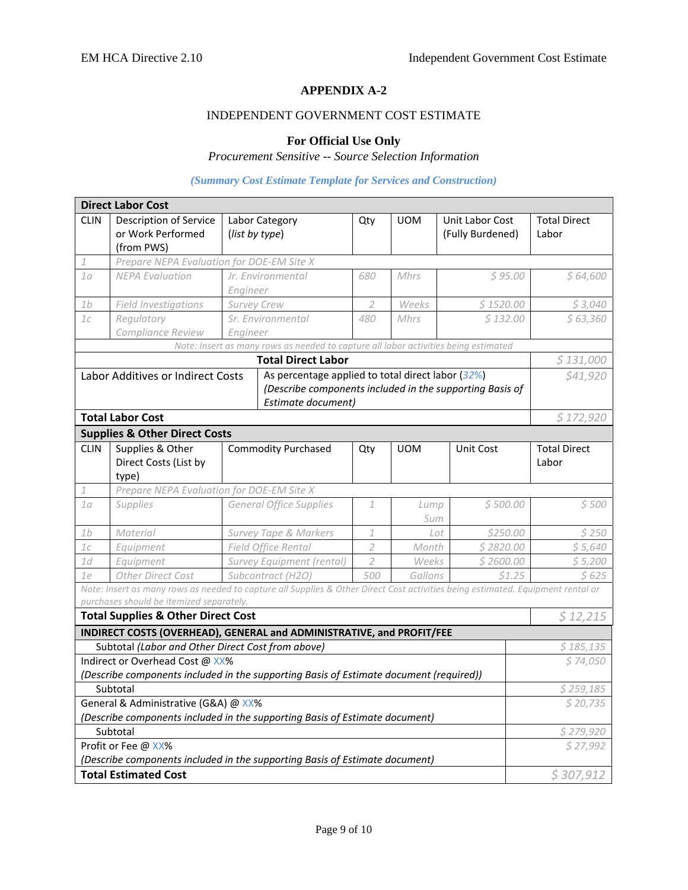#### **APPENDIX A-2**

#### INDEPENDENT GOVERNMENT COST ESTIMATE

#### **For Official Use Only**

# *Procurement Sensitive -- Source Selection Information*

#### *(Summary Cost Estimate Template for Services and Construction)*

|                                                                             | <b>Direct Labor Cost</b>                                                                                                        |                                  |                                                                                     |                                                          |                       |                  |                     |  |
|-----------------------------------------------------------------------------|---------------------------------------------------------------------------------------------------------------------------------|----------------------------------|-------------------------------------------------------------------------------------|----------------------------------------------------------|-----------------------|------------------|---------------------|--|
| <b>CLIN</b>                                                                 | Description of Service                                                                                                          |                                  | Labor Category                                                                      | Qty                                                      | <b>UOM</b>            | Unit Labor Cost  | <b>Total Direct</b> |  |
|                                                                             | or Work Performed                                                                                                               | (list by type)                   |                                                                                     |                                                          |                       | (Fully Burdened) | Labor               |  |
|                                                                             | (from PWS)                                                                                                                      |                                  |                                                                                     |                                                          |                       |                  |                     |  |
| 1                                                                           | Prepare NEPA Evaluation for DOE-EM Site X                                                                                       |                                  |                                                                                     |                                                          |                       |                  |                     |  |
| 1 <sub>0</sub>                                                              | <b>NEPA Evaluation</b>                                                                                                          |                                  | Jr. Environmental                                                                   | 680                                                      | Mhrs                  | \$95.00          | \$64,600            |  |
|                                                                             |                                                                                                                                 | Engineer                         |                                                                                     |                                                          |                       |                  |                     |  |
| 1 <sub>b</sub>                                                              | Field Investigations                                                                                                            | Survey Crew                      |                                                                                     | $\overline{2}$                                           | Weeks                 | \$1520.00        | \$3,040             |  |
| 1c                                                                          | Regulatory                                                                                                                      |                                  | Sr. Environmental                                                                   | 480                                                      | Mhrs                  | \$132.00         | \$63,360            |  |
|                                                                             | Compliance Review                                                                                                               | Engineer                         |                                                                                     |                                                          |                       |                  |                     |  |
|                                                                             |                                                                                                                                 |                                  | Note: Insert as many rows as needed to capture all labor activities being estimated |                                                          |                       |                  |                     |  |
|                                                                             |                                                                                                                                 |                                  | <b>Total Direct Labor</b>                                                           |                                                          |                       |                  | \$131,000           |  |
|                                                                             | Labor Additives or Indirect Costs                                                                                               |                                  | As percentage applied to total direct labor (32%)                                   |                                                          |                       |                  | \$41,920            |  |
|                                                                             |                                                                                                                                 |                                  |                                                                                     | (Describe components included in the supporting Basis of |                       |                  |                     |  |
|                                                                             |                                                                                                                                 |                                  | Estimate document)                                                                  |                                                          |                       |                  |                     |  |
|                                                                             | <b>Total Labor Cost</b>                                                                                                         |                                  |                                                                                     |                                                          |                       |                  | \$172,920           |  |
|                                                                             | <b>Supplies &amp; Other Direct Costs</b>                                                                                        |                                  |                                                                                     |                                                          |                       |                  |                     |  |
| <b>CLIN</b>                                                                 | Supplies & Other                                                                                                                |                                  | <b>Commodity Purchased</b>                                                          | Qty                                                      | <b>UOM</b>            | Unit Cost        | <b>Total Direct</b> |  |
|                                                                             | Direct Costs (List by                                                                                                           |                                  |                                                                                     |                                                          |                       |                  | Labor               |  |
|                                                                             | type)                                                                                                                           |                                  |                                                                                     |                                                          |                       |                  |                     |  |
| 1                                                                           | Prepare NEPA Evaluation for DOE-EM Site X                                                                                       |                                  |                                                                                     |                                                          |                       |                  |                     |  |
| 10                                                                          | <b>Supplies</b>                                                                                                                 |                                  | <b>General Office Supplies</b>                                                      | 1                                                        | Lump<br>Sum           | \$500.00         | \$500               |  |
| 1 <sub>b</sub>                                                              | Material                                                                                                                        | <b>Survey Tape &amp; Markers</b> |                                                                                     | $\mathbf{1}$                                             | Lot                   | \$250.00         | \$250               |  |
| 1c                                                                          | Equipment                                                                                                                       |                                  | Field Office Rental                                                                 | $\overline{2}$                                           | Month                 | \$2820.00        | \$5,640             |  |
| 1d                                                                          | Equipment                                                                                                                       |                                  | Survey Equipment (rental)                                                           | $\overline{2}$                                           | Weeks                 | \$2600.00        | \$5,200             |  |
| 1e                                                                          | Other Direct Cost                                                                                                               |                                  | Subcontract (H2O)                                                                   | 500                                                      | Gallons               | \$1.25           | \$ 625              |  |
|                                                                             | Note: Insert as many rows as needed to capture all Supplies & Other Direct Cost activities being estimated. Equipment rental or |                                  |                                                                                     |                                                          |                       |                  |                     |  |
|                                                                             | purchases should be itemized separately.                                                                                        |                                  |                                                                                     |                                                          |                       |                  |                     |  |
|                                                                             | <b>Total Supplies &amp; Other Direct Cost</b>                                                                                   |                                  |                                                                                     |                                                          |                       |                  | \$12,215            |  |
|                                                                             | INDIRECT COSTS (OVERHEAD), GENERAL and ADMINISTRATIVE, and PROFIT/FEE                                                           |                                  |                                                                                     |                                                          |                       |                  |                     |  |
|                                                                             | Subtotal (Labor and Other Direct Cost from above)                                                                               |                                  |                                                                                     |                                                          |                       |                  | \$185,135           |  |
|                                                                             | Indirect or Overhead Cost @ XX%                                                                                                 |                                  |                                                                                     |                                                          |                       |                  | \$74,050            |  |
|                                                                             | (Describe components included in the supporting Basis of Estimate document (required))                                          |                                  |                                                                                     |                                                          |                       |                  | \$259,185           |  |
| Subtotal<br>General & Administrative (G&A) @ XX%                            |                                                                                                                                 |                                  |                                                                                     | \$20,735                                                 |                       |                  |                     |  |
| (Describe components included in the supporting Basis of Estimate document) |                                                                                                                                 |                                  |                                                                                     |                                                          |                       |                  |                     |  |
| Subtotal                                                                    |                                                                                                                                 |                                  |                                                                                     |                                                          |                       |                  |                     |  |
|                                                                             | Profit or Fee @ XX%                                                                                                             |                                  |                                                                                     |                                                          | \$279,920<br>\$27,992 |                  |                     |  |
| (Describe components included in the supporting Basis of Estimate document) |                                                                                                                                 |                                  |                                                                                     |                                                          |                       |                  |                     |  |
|                                                                             | <b>Total Estimated Cost</b>                                                                                                     |                                  |                                                                                     |                                                          |                       | \$307,912        |                     |  |
|                                                                             |                                                                                                                                 |                                  |                                                                                     |                                                          |                       |                  |                     |  |